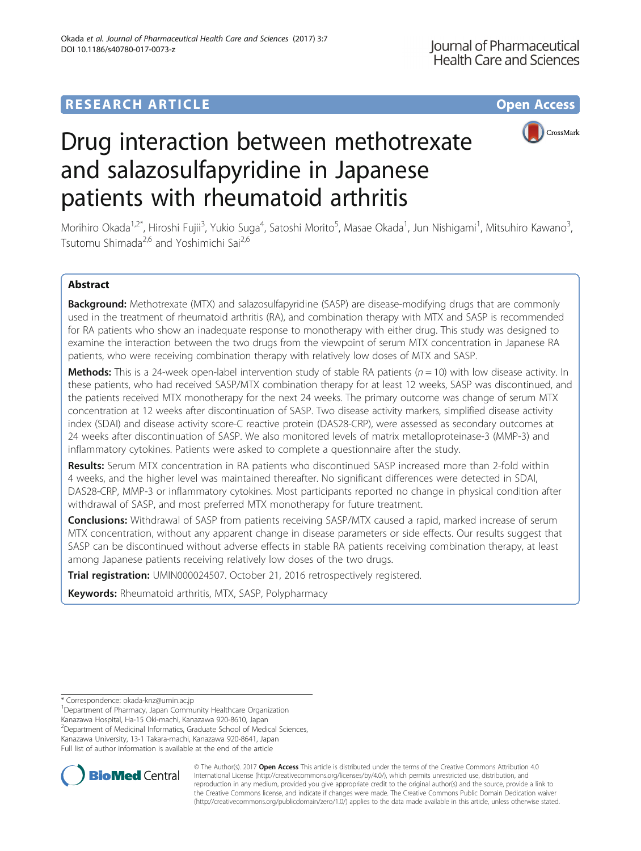# **RESEARCH ARTICLE Example 2014 12:30 The Contract of Contract ACCESS**



# Drug interaction between methotrexate and salazosulfapyridine in Japanese patients with rheumatoid arthritis

Morihiro Okada<sup>1,2\*</sup>, Hiroshi Fujii<sup>3</sup>, Yukio Suga<sup>4</sup>, Satoshi Morito<sup>5</sup>, Masae Okada<sup>1</sup>, Jun Nishigami<sup>1</sup>, Mitsuhiro Kawano<sup>3</sup> , Tsutomu Shimada<sup>2,6</sup> and Yoshimichi Sai<sup>2,6</sup>

# Abstract

Background: Methotrexate (MTX) and salazosulfapyridine (SASP) are disease-modifying drugs that are commonly used in the treatment of rheumatoid arthritis (RA), and combination therapy with MTX and SASP is recommended for RA patients who show an inadequate response to monotherapy with either drug. This study was designed to examine the interaction between the two drugs from the viewpoint of serum MTX concentration in Japanese RA patients, who were receiving combination therapy with relatively low doses of MTX and SASP.

**Methods:** This is a 24-week open-label intervention study of stable RA patients ( $n = 10$ ) with low disease activity. In these patients, who had received SASP/MTX combination therapy for at least 12 weeks, SASP was discontinued, and the patients received MTX monotherapy for the next 24 weeks. The primary outcome was change of serum MTX concentration at 12 weeks after discontinuation of SASP. Two disease activity markers, simplified disease activity index (SDAI) and disease activity score-C reactive protein (DAS28-CRP), were assessed as secondary outcomes at 24 weeks after discontinuation of SASP. We also monitored levels of matrix metalloproteinase-3 (MMP-3) and inflammatory cytokines. Patients were asked to complete a questionnaire after the study.

Results: Serum MTX concentration in RA patients who discontinued SASP increased more than 2-fold within 4 weeks, and the higher level was maintained thereafter. No significant differences were detected in SDAI, DAS28-CRP, MMP-3 or inflammatory cytokines. Most participants reported no change in physical condition after withdrawal of SASP, and most preferred MTX monotherapy for future treatment.

**Conclusions:** Withdrawal of SASP from patients receiving SASP/MTX caused a rapid, marked increase of serum MTX concentration, without any apparent change in disease parameters or side effects. Our results suggest that SASP can be discontinued without adverse effects in stable RA patients receiving combination therapy, at least among Japanese patients receiving relatively low doses of the two drugs.

Trial registration: [UMIN000024507.](https://upload.umin.ac.jp/cgi-open-bin/ctr/ctr_view.cgi?recptno=R000028200) October 21, 2016 retrospectively registered.

Keywords: Rheumatoid arthritis, MTX, SASP, Polypharmacy

<sup>1</sup>Department of Pharmacy, Japan Community Healthcare Organization

Kanazawa Hospital, Ha-15 Oki-machi, Kanazawa 920-8610, Japan

<sup>2</sup>Department of Medicinal Informatics, Graduate School of Medical Sciences, Kanazawa University, 13-1 Takara-machi, Kanazawa 920-8641, Japan Full list of author information is available at the end of the article



© The Author(s). 2017 **Open Access** This article is distributed under the terms of the Creative Commons Attribution 4.0 International License [\(http://creativecommons.org/licenses/by/4.0/](http://creativecommons.org/licenses/by/4.0/)), which permits unrestricted use, distribution, and reproduction in any medium, provided you give appropriate credit to the original author(s) and the source, provide a link to the Creative Commons license, and indicate if changes were made. The Creative Commons Public Domain Dedication waiver [\(http://creativecommons.org/publicdomain/zero/1.0/](http://creativecommons.org/publicdomain/zero/1.0/)) applies to the data made available in this article, unless otherwise stated.

<sup>\*</sup> Correspondence: [okada-knz@umin.ac.jp](mailto:okada-knz@umin.ac.jp) <sup>1</sup>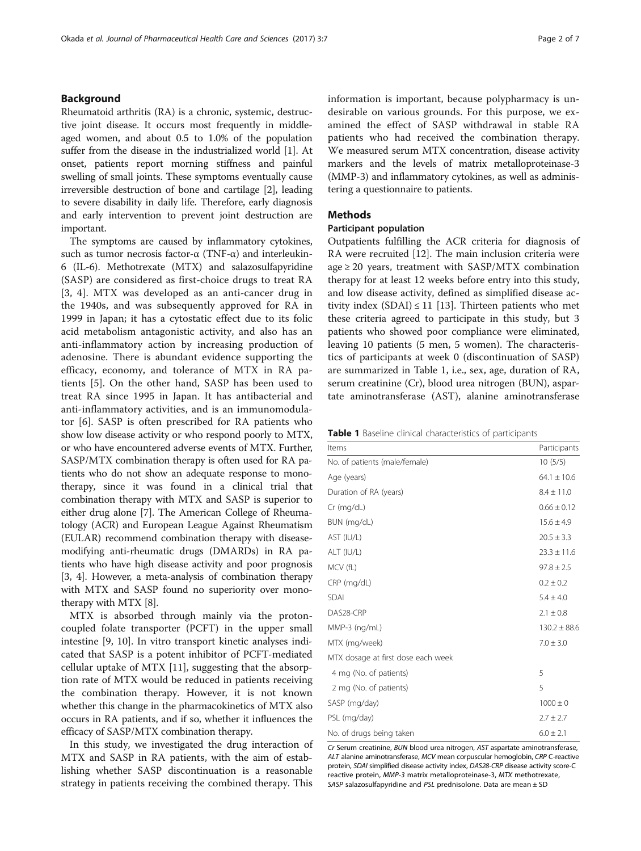# Background

Rheumatoid arthritis (RA) is a chronic, systemic, destructive joint disease. It occurs most frequently in middleaged women, and about 0.5 to 1.0% of the population suffer from the disease in the industrialized world [\[1\]](#page-6-0). At onset, patients report morning stiffness and painful swelling of small joints. These symptoms eventually cause irreversible destruction of bone and cartilage [\[2\]](#page-6-0), leading to severe disability in daily life. Therefore, early diagnosis and early intervention to prevent joint destruction are important.

The symptoms are caused by inflammatory cytokines, such as tumor necrosis factor- $\alpha$  (TNF- $\alpha$ ) and interleukin-6 (IL-6). Methotrexate (MTX) and salazosulfapyridine (SASP) are considered as first-choice drugs to treat RA [[3, 4\]](#page-6-0). MTX was developed as an anti-cancer drug in the 1940s, and was subsequently approved for RA in 1999 in Japan; it has a cytostatic effect due to its folic acid metabolism antagonistic activity, and also has an anti-inflammatory action by increasing production of adenosine. There is abundant evidence supporting the efficacy, economy, and tolerance of MTX in RA patients [\[5](#page-6-0)]. On the other hand, SASP has been used to treat RA since 1995 in Japan. It has antibacterial and anti-inflammatory activities, and is an immunomodulator [\[6](#page-6-0)]. SASP is often prescribed for RA patients who show low disease activity or who respond poorly to MTX, or who have encountered adverse events of MTX. Further, SASP/MTX combination therapy is often used for RA patients who do not show an adequate response to monotherapy, since it was found in a clinical trial that combination therapy with MTX and SASP is superior to either drug alone [\[7](#page-6-0)]. The American College of Rheumatology (ACR) and European League Against Rheumatism (EULAR) recommend combination therapy with diseasemodifying anti-rheumatic drugs (DMARDs) in RA patients who have high disease activity and poor prognosis [[3, 4\]](#page-6-0). However, a meta-analysis of combination therapy with MTX and SASP found no superiority over monotherapy with MTX [\[8](#page-6-0)].

MTX is absorbed through mainly via the protoncoupled folate transporter (PCFT) in the upper small intestine [\[9](#page-6-0), [10\]](#page-6-0). In vitro transport kinetic analyses indicated that SASP is a potent inhibitor of PCFT-mediated cellular uptake of MTX [\[11](#page-6-0)], suggesting that the absorption rate of MTX would be reduced in patients receiving the combination therapy. However, it is not known whether this change in the pharmacokinetics of MTX also occurs in RA patients, and if so, whether it influences the efficacy of SASP/MTX combination therapy.

In this study, we investigated the drug interaction of MTX and SASP in RA patients, with the aim of establishing whether SASP discontinuation is a reasonable strategy in patients receiving the combined therapy. This

information is important, because polypharmacy is undesirable on various grounds. For this purpose, we examined the effect of SASP withdrawal in stable RA patients who had received the combination therapy. We measured serum MTX concentration, disease activity markers and the levels of matrix metalloproteinase-3 (MMP-3) and inflammatory cytokines, as well as administering a questionnaire to patients.

# **Methods**

# Participant population

Outpatients fulfilling the ACR criteria for diagnosis of RA were recruited [\[12](#page-6-0)]. The main inclusion criteria were age  $\geq$  20 years, treatment with SASP/MTX combination therapy for at least 12 weeks before entry into this study, and low disease activity, defined as simplified disease activity index  $(SDAI) \leq 11$  [[13\]](#page-6-0). Thirteen patients who met these criteria agreed to participate in this study, but 3 patients who showed poor compliance were eliminated, leaving 10 patients (5 men, 5 women). The characteristics of participants at week 0 (discontinuation of SASP) are summarized in Table 1, i.e., sex, age, duration of RA, serum creatinine (Cr), blood urea nitrogen (BUN), aspartate aminotransferase (AST), alanine aminotransferase

|  |  |  | Table 1 Baseline clinical characteristics of participants |  |  |
|--|--|--|-----------------------------------------------------------|--|--|
|--|--|--|-----------------------------------------------------------|--|--|

| Items                              | Participants     |
|------------------------------------|------------------|
| No. of patients (male/female)      | 10(5/5)          |
| Age (years)                        | $64.1 \pm 10.6$  |
| Duration of RA (years)             | $8.4 \pm 11.0$   |
| Cr (mg/dL)                         | $0.66 \pm 0.12$  |
| BUN (mg/dL)                        | $15.6 \pm 4.9$   |
| AST (IU/L)                         | $20.5 \pm 3.3$   |
| ALT (IU/L)                         | $23.3 \pm 11.6$  |
| MCV (fL)                           | $97.8 \pm 2.5$   |
| CRP (mg/dL)                        | $0.2 \pm 0.2$    |
| <b>SDAI</b>                        | $5.4 \pm 4.0$    |
| DAS28-CRP                          | $2.1 \pm 0.8$    |
| MMP-3 (ng/mL)                      | $130.2 \pm 88.6$ |
| MTX (mg/week)                      | $7.0 \pm 3.0$    |
| MTX dosage at first dose each week |                  |
| 4 mg (No. of patients)             | 5                |
| 2 mg (No. of patients)             | 5                |
| SASP (mg/day)                      | $1000 \pm 0$     |
| PSL (mg/day)                       | $2.7 \pm 2.7$    |
| No. of drugs being taken           | $6.0 \pm 2.1$    |

Cr Serum creatinine, BUN blood urea nitrogen, AST aspartate aminotransferase, ALT alanine aminotransferase, MCV mean corpuscular hemoglobin, CRP C-reactive protein, SDAI simplified disease activity index, DAS28-CRP disease activity score-C reactive protein, MMP-3 matrix metalloproteinase-3, MTX methotrexate, SASP salazosulfapyridine and PSL prednisolone. Data are mean ± SD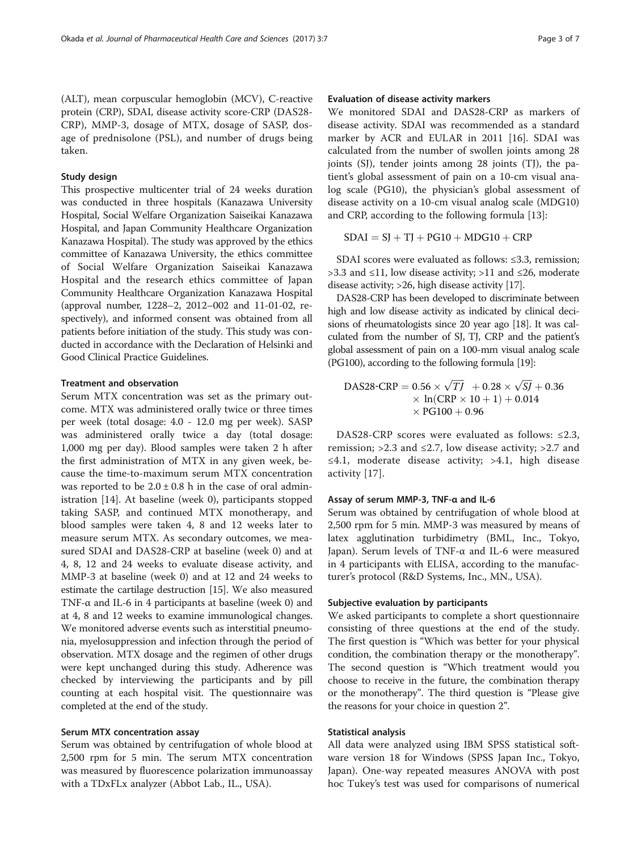(ALT), mean corpuscular hemoglobin (MCV), C-reactive protein (CRP), SDAI, disease activity score-CRP (DAS28- CRP), MMP-3, dosage of MTX, dosage of SASP, dosage of prednisolone (PSL), and number of drugs being taken.

# Study design

This prospective multicenter trial of 24 weeks duration was conducted in three hospitals (Kanazawa University Hospital, Social Welfare Organization Saiseikai Kanazawa Hospital, and Japan Community Healthcare Organization Kanazawa Hospital). The study was approved by the ethics committee of Kanazawa University, the ethics committee of Social Welfare Organization Saiseikai Kanazawa Hospital and the research ethics committee of Japan Community Healthcare Organization Kanazawa Hospital (approval number, 1228–2, 2012–002 and 11-01-02, respectively), and informed consent was obtained from all patients before initiation of the study. This study was conducted in accordance with the Declaration of Helsinki and Good Clinical Practice Guidelines.

# Treatment and observation

Serum MTX concentration was set as the primary outcome. MTX was administered orally twice or three times per week (total dosage: 4.0 - 12.0 mg per week). SASP was administered orally twice a day (total dosage: 1,000 mg per day). Blood samples were taken 2 h after the first administration of MTX in any given week, because the time-to-maximum serum MTX concentration was reported to be  $2.0 \pm 0.8$  h in the case of oral administration [\[14](#page-6-0)]. At baseline (week 0), participants stopped taking SASP, and continued MTX monotherapy, and blood samples were taken 4, 8 and 12 weeks later to measure serum MTX. As secondary outcomes, we measured SDAI and DAS28-CRP at baseline (week 0) and at 4, 8, 12 and 24 weeks to evaluate disease activity, and MMP-3 at baseline (week 0) and at 12 and 24 weeks to estimate the cartilage destruction [[15](#page-6-0)]. We also measured TNF- $\alpha$  and IL-6 in 4 participants at baseline (week 0) and at 4, 8 and 12 weeks to examine immunological changes. We monitored adverse events such as interstitial pneumonia, myelosuppression and infection through the period of observation. MTX dosage and the regimen of other drugs were kept unchanged during this study. Adherence was checked by interviewing the participants and by pill counting at each hospital visit. The questionnaire was completed at the end of the study.

# Serum MTX concentration assay

Serum was obtained by centrifugation of whole blood at 2,500 rpm for 5 min. The serum MTX concentration was measured by fluorescence polarization immunoassay with a TDxFLx analyzer (Abbot Lab., IL., USA).

# Evaluation of disease activity markers

We monitored SDAI and DAS28-CRP as markers of disease activity. SDAI was recommended as a standard marker by ACR and EULAR in 2011 [[16\]](#page-6-0). SDAI was calculated from the number of swollen joints among 28 joints (SJ), tender joints among 28 joints (TJ), the patient's global assessment of pain on a 10-cm visual analog scale (PG10), the physician's global assessment of disease activity on a 10-cm visual analog scale (MDG10) and CRP, according to the following formula [[13](#page-6-0)]:

$$
SDAI = SJ + TJ + PG10 + MDG10 + CRP
$$

SDAI scores were evaluated as follows: ≤3.3, remission; >3.3 and ≤11, low disease activity; >11 and ≤26, moderate disease activity; >26, high disease activity [\[17\]](#page-6-0).

DAS28-CRP has been developed to discriminate between high and low disease activity as indicated by clinical decisions of rheumatologists since 20 year ago [\[18\]](#page-6-0). It was calculated from the number of SJ, TJ, CRP and the patient's global assessment of pain on a 100-mm visual analog scale (PG100), according to the following formula [\[19\]](#page-6-0):

DAS28-CRP = 
$$
0.56 \times \sqrt{TJ} + 0.28 \times \sqrt{SI} + 0.36
$$
  
×  $\ln(CRP \times 10 + 1) + 0.014$   
× PG100 + 0.96

DAS28-CRP scores were evaluated as follows: ≤2.3, remission; >2.3 and  $\leq$ 2.7, low disease activity; >2.7 and ≤4.1, moderate disease activity; >4.1, high disease activity [[17\]](#page-6-0).

#### Assay of serum MMP-3, TNF-α and IL-6

Serum was obtained by centrifugation of whole blood at 2,500 rpm for 5 min. MMP-3 was measured by means of latex agglutination turbidimetry (BML, Inc., Tokyo, Japan). Serum levels of TNF-α and IL-6 were measured in 4 participants with ELISA, according to the manufacturer's protocol (R&D Systems, Inc., MN., USA).

#### Subjective evaluation by participants

We asked participants to complete a short questionnaire consisting of three questions at the end of the study. The first question is "Which was better for your physical condition, the combination therapy or the monotherapy". The second question is "Which treatment would you choose to receive in the future, the combination therapy or the monotherapy". The third question is "Please give the reasons for your choice in question 2".

#### Statistical analysis

All data were analyzed using IBM SPSS statistical software version 18 for Windows (SPSS Japan Inc., Tokyo, Japan). One-way repeated measures ANOVA with post hoc Tukey's test was used for comparisons of numerical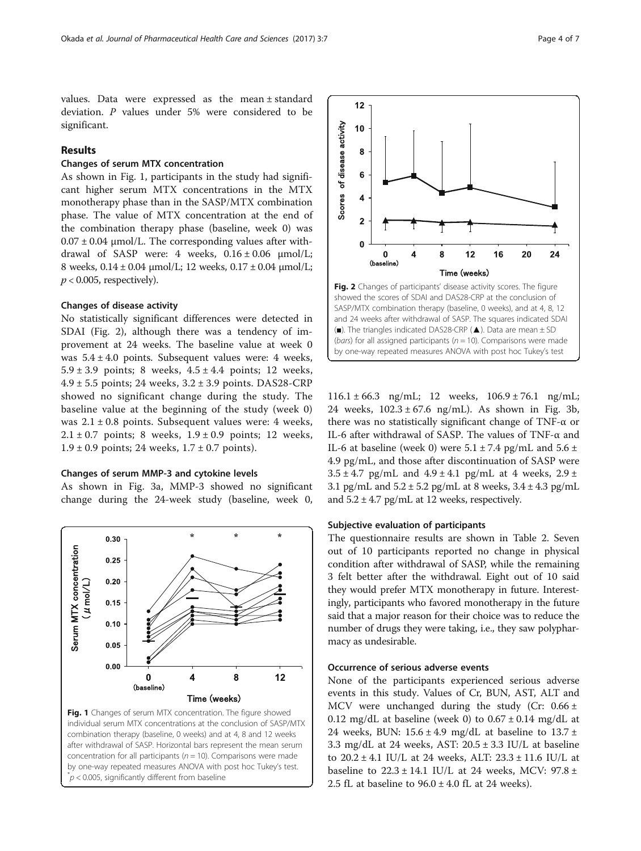<span id="page-3-0"></span>values. Data were expressed as the mean ± standard deviation. P values under 5% were considered to be significant.

# Results

#### Changes of serum MTX concentration

As shown in Fig. 1, participants in the study had significant higher serum MTX concentrations in the MTX monotherapy phase than in the SASP/MTX combination phase. The value of MTX concentration at the end of the combination therapy phase (baseline, week 0) was  $0.07 \pm 0.04$  µmol/L. The corresponding values after withdrawal of SASP were: 4 weeks,  $0.16 \pm 0.06$   $\mu$ mol/L; 8 weeks, 0.14 ± 0.04 μmol/L; 12 weeks, 0.17 ± 0.04 μmol/L;  $p < 0.005$ , respectively).

#### Changes of disease activity

No statistically significant differences were detected in SDAI (Fig. 2), although there was a tendency of improvement at 24 weeks. The baseline value at week 0 was  $5.4 \pm 4.0$  points. Subsequent values were: 4 weeks, 5.9 ± 3.9 points; 8 weeks,  $4.5 \pm 4.4$  points; 12 weeks,  $4.9 \pm 5.5$  points; 24 weeks,  $3.2 \pm 3.9$  points. DAS28-CRP showed no significant change during the study. The baseline value at the beginning of the study (week 0) was  $2.1 \pm 0.8$  points. Subsequent values were: 4 weeks,  $2.1 \pm 0.7$  points; 8 weeks,  $1.9 \pm 0.9$  points; 12 weeks,  $1.9 \pm 0.9$  points; 24 weeks,  $1.7 \pm 0.7$  points).

#### Changes of serum MMP-3 and cytokine levels

As shown in Fig. [3a](#page-4-0), MMP-3 showed no significant change during the 24-week study (baseline, week 0,







 $116.1 \pm 66.3$  ng/mL; 12 weeks,  $106.9 \pm 76.1$  ng/mL; 24 weeks,  $102.3 \pm 67.6$  ng/mL). As shown in Fig. [3b](#page-4-0), there was no statistically significant change of TNF-α or IL-6 after withdrawal of SASP. The values of TNF-α and IL-6 at baseline (week 0) were  $5.1 \pm 7.4$  pg/mL and  $5.6 \pm 7.4$ 4.9 pg/mL, and those after discontinuation of SASP were  $3.5 \pm 4.7$  pg/mL and  $4.9 \pm 4.1$  pg/mL at 4 weeks,  $2.9 \pm 1.5$ 3.1 pg/mL and  $5.2 \pm 5.2$  pg/mL at 8 weeks,  $3.4 \pm 4.3$  pg/mL and  $5.2 \pm 4.7$  pg/mL at 12 weeks, respectively.

#### Subjective evaluation of participants

The questionnaire results are shown in Table [2](#page-4-0). Seven out of 10 participants reported no change in physical condition after withdrawal of SASP, while the remaining 3 felt better after the withdrawal. Eight out of 10 said they would prefer MTX monotherapy in future. Interestingly, participants who favored monotherapy in the future said that a major reason for their choice was to reduce the number of drugs they were taking, i.e., they saw polypharmacy as undesirable.

# Occurrence of serious adverse events

None of the participants experienced serious adverse events in this study. Values of Cr, BUN, AST, ALT and MCV were unchanged during the study (Cr:  $0.66 \pm$ 0.12 mg/dL at baseline (week 0) to  $0.67 \pm 0.14$  mg/dL at 24 weeks, BUN:  $15.6 \pm 4.9$  mg/dL at baseline to  $13.7 \pm$ 3.3 mg/dL at 24 weeks, AST:  $20.5 \pm 3.3$  IU/L at baseline to 20.2 ± 4.1 IU/L at 24 weeks, ALT: 23.3 ± 11.6 IU/L at baseline to  $22.3 \pm 14.1$  IU/L at 24 weeks, MCV:  $97.8 \pm$ 2.5 fL at baseline to  $96.0 \pm 4.0$  fL at 24 weeks).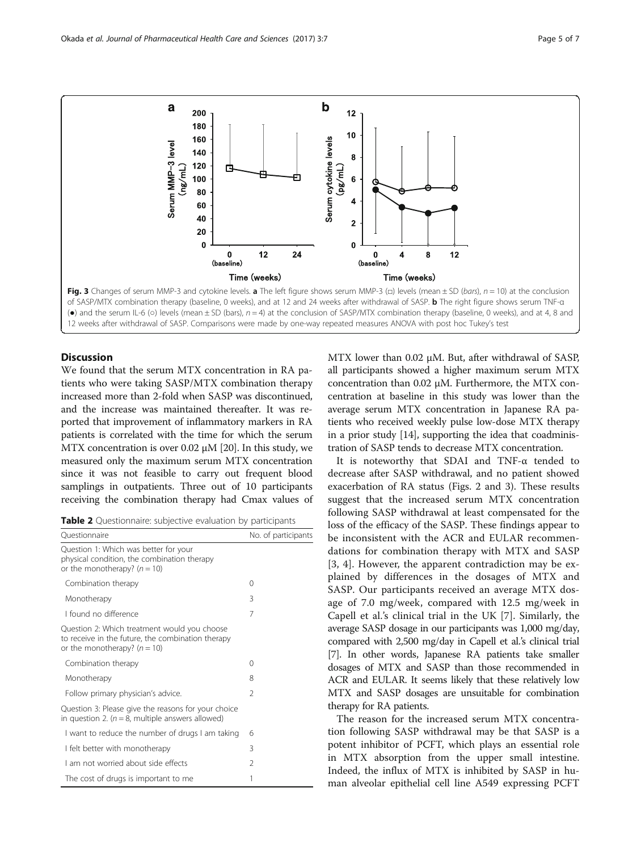<span id="page-4-0"></span>

# **Discussion**

We found that the serum MTX concentration in RA patients who were taking SASP/MTX combination therapy increased more than 2-fold when SASP was discontinued, and the increase was maintained thereafter. It was reported that improvement of inflammatory markers in RA patients is correlated with the time for which the serum MTX concentration is over 0.02 μM [\[20](#page-6-0)]. In this study, we measured only the maximum serum MTX concentration since it was not feasible to carry out frequent blood samplings in outpatients. Three out of 10 participants receiving the combination therapy had Cmax values of

| Table 2 Questionnaire: subjective evaluation by participants |  |  |  |  |
|--------------------------------------------------------------|--|--|--|--|
|--------------------------------------------------------------|--|--|--|--|

| Ouestionnaire                                                                                                                       | No. of participants |  |
|-------------------------------------------------------------------------------------------------------------------------------------|---------------------|--|
| Question 1: Which was better for your<br>physical condition, the combination therapy<br>or the monotherapy? $(n = 10)$              |                     |  |
| Combination therapy                                                                                                                 | 0                   |  |
| Monotherapy                                                                                                                         | 3                   |  |
| I found no difference                                                                                                               | 7                   |  |
| Question 2: Which treatment would you choose<br>to receive in the future, the combination therapy<br>or the monotherapy? $(n = 10)$ |                     |  |
| Combination therapy                                                                                                                 | 0                   |  |
| Monotherapy                                                                                                                         | 8                   |  |
| Follow primary physician's advice.                                                                                                  | $\mathfrak{D}$      |  |
| Question 3: Please give the reasons for your choice<br>in question 2. ( $n = 8$ , multiple answers allowed)                         |                     |  |
| I want to reduce the number of drugs I am taking                                                                                    | 6                   |  |
| I felt better with monotherapy                                                                                                      | 3                   |  |
| Lam not worried about side effects                                                                                                  | 2                   |  |
| The cost of drugs is important to me                                                                                                | 1                   |  |

MTX lower than 0.02 μM. But, after withdrawal of SASP, all participants showed a higher maximum serum MTX concentration than 0.02 μM. Furthermore, the MTX concentration at baseline in this study was lower than the average serum MTX concentration in Japanese RA patients who received weekly pulse low-dose MTX therapy in a prior study [[14](#page-6-0)], supporting the idea that coadministration of SASP tends to decrease MTX concentration.

It is noteworthy that SDAI and TNF-α tended to decrease after SASP withdrawal, and no patient showed exacerbation of RA status (Figs. [2](#page-3-0) and 3). These results suggest that the increased serum MTX concentration following SASP withdrawal at least compensated for the loss of the efficacy of the SASP. These findings appear to be inconsistent with the ACR and EULAR recommendations for combination therapy with MTX and SASP [[3, 4\]](#page-6-0). However, the apparent contradiction may be explained by differences in the dosages of MTX and SASP. Our participants received an average MTX dosage of 7.0 mg/week, compared with 12.5 mg/week in Capell et al.'s clinical trial in the UK [[7](#page-6-0)]. Similarly, the average SASP dosage in our participants was 1,000 mg/day, compared with 2,500 mg/day in Capell et al.'s clinical trial [[7](#page-6-0)]. In other words, Japanese RA patients take smaller dosages of MTX and SASP than those recommended in ACR and EULAR. It seems likely that these relatively low MTX and SASP dosages are unsuitable for combination therapy for RA patients.

The reason for the increased serum MTX concentration following SASP withdrawal may be that SASP is a potent inhibitor of PCFT, which plays an essential role in MTX absorption from the upper small intestine. Indeed, the influx of MTX is inhibited by SASP in human alveolar epithelial cell line A549 expressing PCFT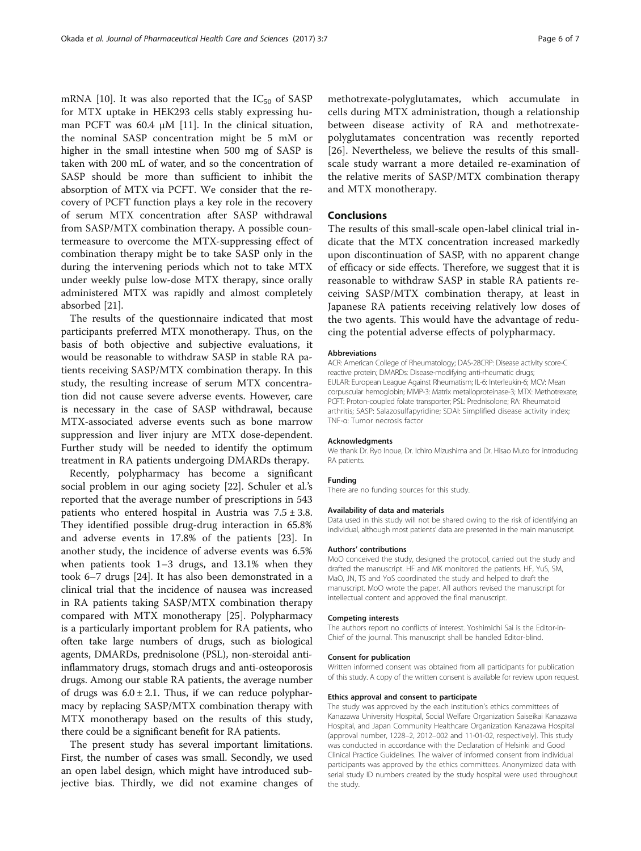mRNA [\[10](#page-6-0)]. It was also reported that the  $IC_{50}$  of SASP for MTX uptake in HEK293 cells stably expressing human PCFT was 60.4 μM [[11\]](#page-6-0). In the clinical situation, the nominal SASP concentration might be 5 mM or higher in the small intestine when 500 mg of SASP is taken with 200 mL of water, and so the concentration of SASP should be more than sufficient to inhibit the absorption of MTX via PCFT. We consider that the recovery of PCFT function plays a key role in the recovery of serum MTX concentration after SASP withdrawal from SASP/MTX combination therapy. A possible countermeasure to overcome the MTX-suppressing effect of combination therapy might be to take SASP only in the during the intervening periods which not to take MTX under weekly pulse low-dose MTX therapy, since orally administered MTX was rapidly and almost completely absorbed [[21](#page-6-0)].

The results of the questionnaire indicated that most participants preferred MTX monotherapy. Thus, on the basis of both objective and subjective evaluations, it would be reasonable to withdraw SASP in stable RA patients receiving SASP/MTX combination therapy. In this study, the resulting increase of serum MTX concentration did not cause severe adverse events. However, care is necessary in the case of SASP withdrawal, because MTX-associated adverse events such as bone marrow suppression and liver injury are MTX dose-dependent. Further study will be needed to identify the optimum treatment in RA patients undergoing DMARDs therapy.

Recently, polypharmacy has become a significant social problem in our aging society [\[22](#page-6-0)]. Schuler et al.'s reported that the average number of prescriptions in 543 patients who entered hospital in Austria was  $7.5 \pm 3.8$ . They identified possible drug-drug interaction in 65.8% and adverse events in 17.8% of the patients [\[23\]](#page-6-0). In another study, the incidence of adverse events was 6.5% when patients took 1–3 drugs, and 13.1% when they took 6–7 drugs [\[24\]](#page-6-0). It has also been demonstrated in a clinical trial that the incidence of nausea was increased in RA patients taking SASP/MTX combination therapy compared with MTX monotherapy [\[25](#page-6-0)]. Polypharmacy is a particularly important problem for RA patients, who often take large numbers of drugs, such as biological agents, DMARDs, prednisolone (PSL), non-steroidal antiinflammatory drugs, stomach drugs and anti-osteoporosis drugs. Among our stable RA patients, the average number of drugs was  $6.0 \pm 2.1$ . Thus, if we can reduce polypharmacy by replacing SASP/MTX combination therapy with MTX monotherapy based on the results of this study, there could be a significant benefit for RA patients.

The present study has several important limitations. First, the number of cases was small. Secondly, we used an open label design, which might have introduced subjective bias. Thirdly, we did not examine changes of methotrexate-polyglutamates, which accumulate in cells during MTX administration, though a relationship between disease activity of RA and methotrexatepolyglutamates concentration was recently reported [[26](#page-6-0)]. Nevertheless, we believe the results of this smallscale study warrant a more detailed re-examination of the relative merits of SASP/MTX combination therapy and MTX monotherapy.

# Conclusions

The results of this small-scale open-label clinical trial indicate that the MTX concentration increased markedly upon discontinuation of SASP, with no apparent change of efficacy or side effects. Therefore, we suggest that it is reasonable to withdraw SASP in stable RA patients receiving SASP/MTX combination therapy, at least in Japanese RA patients receiving relatively low doses of the two agents. This would have the advantage of reducing the potential adverse effects of polypharmacy.

#### Abbreviations

ACR: American College of Rheumatology; DAS-28CRP: Disease activity score-C reactive protein; DMARDs: Disease-modifying anti-rheumatic drugs; EULAR: European League Against Rheumatism; IL-6: Interleukin-6; MCV: Mean corpuscular hemoglobin; MMP-3: Matrix metalloproteinase-3; MTX: Methotrexate; PCFT: Proton-coupled folate transporter; PSL: Prednisolone; RA: Rheumatoid arthritis; SASP: Salazosulfapyridine; SDAI: Simplified disease activity index; TNF-α: Tumor necrosis factor

#### Acknowledgments

We thank Dr. Ryo Inoue, Dr. Ichiro Mizushima and Dr. Hisao Muto for introducing RA patients.

#### Funding

There are no funding sources for this study.

#### Availability of data and materials

Data used in this study will not be shared owing to the risk of identifying an individual, although most patients' data are presented in the main manuscript.

#### Authors' contributions

MoO conceived the study, designed the protocol, carried out the study and drafted the manuscript. HF and MK monitored the patients. HF, YuS, SM, MaO, JN, TS and YoS coordinated the study and helped to draft the manuscript. MoO wrote the paper. All authors revised the manuscript for intellectual content and approved the final manuscript.

#### Competing interests

The authors report no conflicts of interest. Yoshimichi Sai is the Editor-in-Chief of the journal. This manuscript shall be handled Editor-blind.

#### Consent for publication

Written informed consent was obtained from all participants for publication of this study. A copy of the written consent is available for review upon request.

#### Ethics approval and consent to participate

The study was approved by the each institution's ethics committees of Kanazawa University Hospital, Social Welfare Organization Saiseikai Kanazawa Hospital, and Japan Community Healthcare Organization Kanazawa Hospital (approval number, 1228–2, 2012–002 and 11-01-02, respectively). This study was conducted in accordance with the Declaration of Helsinki and Good Clinical Practice Guidelines. The waiver of informed consent from individual participants was approved by the ethics committees. Anonymized data with serial study ID numbers created by the study hospital were used throughout the study.